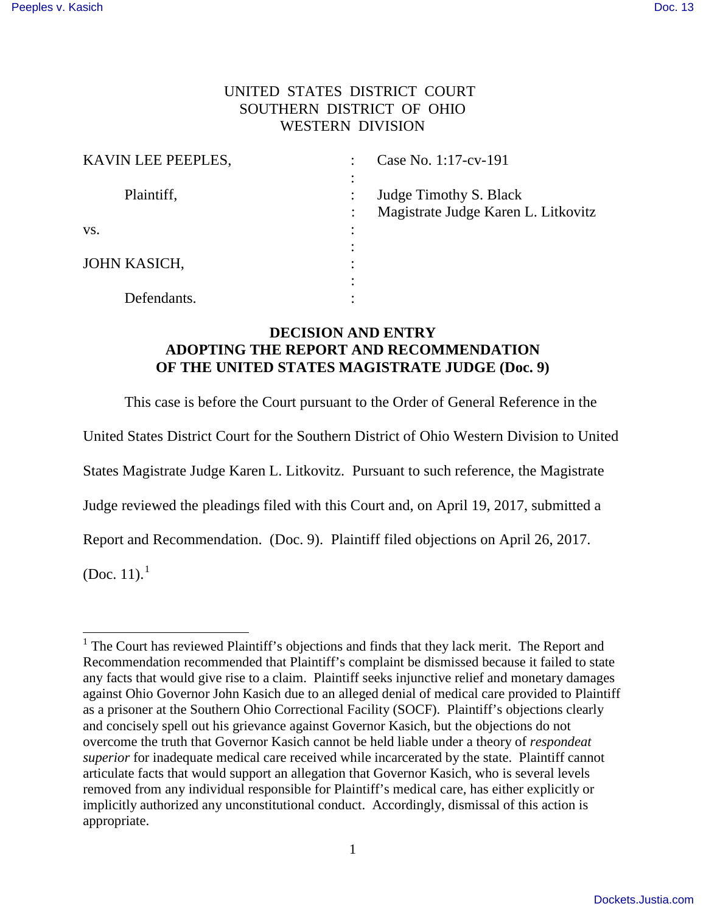## UNITED STATES DISTRICT COURT SOUTHERN DISTRICT OF OHIO WESTERN DIVISION

| KAVIN LEE PEEPLES, | Case No. 1:17-cv-191                |  |
|--------------------|-------------------------------------|--|
|                    |                                     |  |
| Plaintiff,         | Judge Timothy S. Black              |  |
|                    | Magistrate Judge Karen L. Litkovitz |  |
| VS.                |                                     |  |
|                    |                                     |  |
| JOHN KASICH,       |                                     |  |
|                    |                                     |  |
| Defendants.        |                                     |  |

## **DECISION AND ENTRY ADOPTING THE REPORT AND RECOMMENDATION OF THE UNITED STATES MAGISTRATE JUDGE (Doc. 9)**

This case is before the Court pursuant to the Order of General Reference in the

United States District Court for the Southern District of Ohio Western Division to United

States Magistrate Judge Karen L. Litkovitz. Pursuant to such reference, the Magistrate

Judge reviewed the pleadings filed with this Court and, on April 19, 2017, submitted a

Report and Recommendation. (Doc. 9). Plaintiff filed objections on April 26, 2017.

(Doc. 11). $^{1}$ 

ı

<sup>&</sup>lt;sup>1</sup> The Court has reviewed Plaintiff's objections and finds that they lack merit. The Report and Recommendation recommended that Plaintiff's complaint be dismissed because it failed to state any facts that would give rise to a claim. Plaintiff seeks injunctive relief and monetary damages against Ohio Governor John Kasich due to an alleged denial of medical care provided to Plaintiff as a prisoner at the Southern Ohio Correctional Facility (SOCF). Plaintiff's objections clearly and concisely spell out his grievance against Governor Kasich, but the objections do not overcome the truth that Governor Kasich cannot be held liable under a theory of *respondeat superior* for inadequate medical care received while incarcerated by the state. Plaintiff cannot articulate facts that would support an allegation that Governor Kasich, who is several levels removed from any individual responsible for Plaintiff's medical care, has either explicitly or implicitly authorized any unconstitutional conduct. Accordingly, dismissal of this action is appropriate.